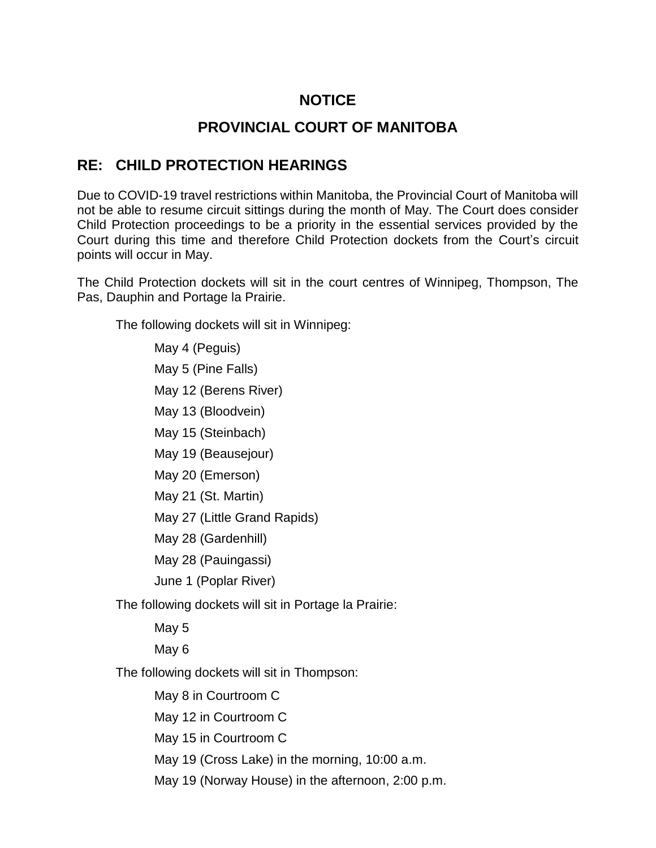## **NOTICE**

## **PROVINCIAL COURT OF MANITOBA**

### **RE: CHILD PROTECTION HEARINGS**

Due to COVID-19 travel restrictions within Manitoba, the Provincial Court of Manitoba will not be able to resume circuit sittings during the month of May. The Court does consider Child Protection proceedings to be a priority in the essential services provided by the Court during this time and therefore Child Protection dockets from the Court's circuit points will occur in May.

The Child Protection dockets will sit in the court centres of Winnipeg, Thompson, The Pas, Dauphin and Portage la Prairie.

The following dockets will sit in Winnipeg:

May 4 (Peguis) May 5 (Pine Falls) May 12 (Berens River) May 13 (Bloodvein) May 15 (Steinbach) May 19 (Beausejour) May 20 (Emerson) May 21 (St. Martin) May 27 (Little Grand Rapids) May 28 (Gardenhill) May 28 (Pauingassi) June 1 (Poplar River) The following dockets will sit in Portage la Prairie: May 5 May 6 The following dockets will sit in Thompson: May 8 in Courtroom C

May 12 in Courtroom C

May 15 in Courtroom C

May 19 (Cross Lake) in the morning, 10:00 a.m.

May 19 (Norway House) in the afternoon, 2:00 p.m.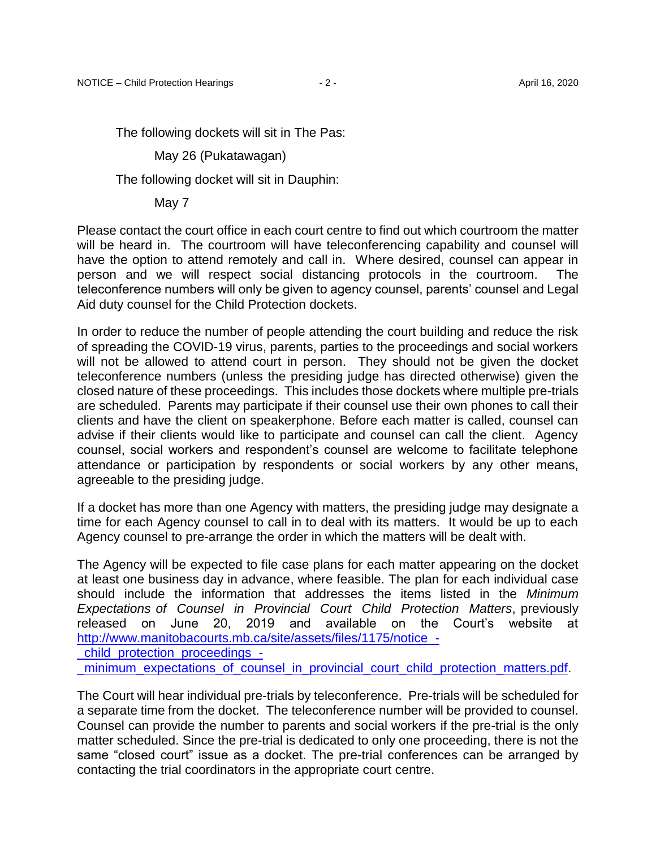The following dockets will sit in The Pas:

May 26 (Pukatawagan)

The following docket will sit in Dauphin:

May 7

Please contact the court office in each court centre to find out which courtroom the matter will be heard in. The courtroom will have teleconferencing capability and counsel will have the option to attend remotely and call in. Where desired, counsel can appear in person and we will respect social distancing protocols in the courtroom. The teleconference numbers will only be given to agency counsel, parents' counsel and Legal Aid duty counsel for the Child Protection dockets.

In order to reduce the number of people attending the court building and reduce the risk of spreading the COVID-19 virus, parents, parties to the proceedings and social workers will not be allowed to attend court in person. They should not be given the docket teleconference numbers (unless the presiding judge has directed otherwise) given the closed nature of these proceedings. This includes those dockets where multiple pre-trials are scheduled. Parents may participate if their counsel use their own phones to call their clients and have the client on speakerphone. Before each matter is called, counsel can advise if their clients would like to participate and counsel can call the client. Agency counsel, social workers and respondent's counsel are welcome to facilitate telephone attendance or participation by respondents or social workers by any other means, agreeable to the presiding judge.

If a docket has more than one Agency with matters, the presiding judge may designate a time for each Agency counsel to call in to deal with its matters. It would be up to each Agency counsel to pre-arrange the order in which the matters will be dealt with.

The Agency will be expected to file case plans for each matter appearing on the docket at least one business day in advance, where feasible. The plan for each individual case should include the information that addresses the items listed in the *Minimum Expectations of Counsel in Provincial Court Child Protection Matters*, previously released on June 20, 2019 and available on the Court's website at http://www.manitobacourts.mb.ca/site/assets/files/1175/notice -

[\\_child\\_protection\\_proceedings\\_-](http://www.manitobacourts.mb.ca/site/assets/files/1175/notice_-_child_protection_proceedings_-_minimum_expectations_of_counsel_in_provincial_court_child_protection_matters.pdf)

minimum expectations of counsel in provincial court child protection matters.pdf.

The Court will hear individual pre-trials by teleconference. Pre-trials will be scheduled for a separate time from the docket. The teleconference number will be provided to counsel. Counsel can provide the number to parents and social workers if the pre-trial is the only matter scheduled. Since the pre-trial is dedicated to only one proceeding, there is not the same "closed court" issue as a docket. The pre-trial conferences can be arranged by contacting the trial coordinators in the appropriate court centre.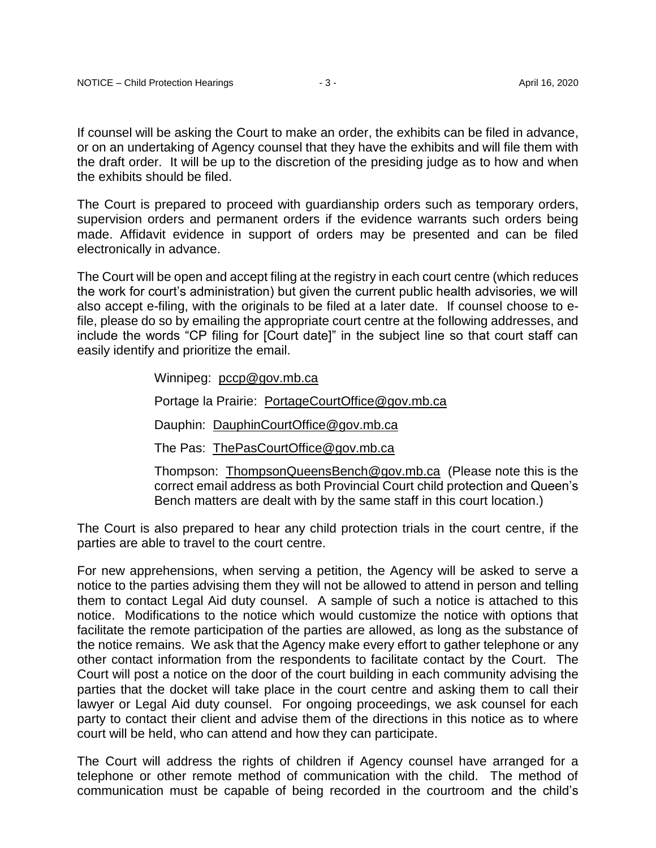If counsel will be asking the Court to make an order, the exhibits can be filed in advance, or on an undertaking of Agency counsel that they have the exhibits and will file them with the draft order. It will be up to the discretion of the presiding judge as to how and when the exhibits should be filed.

The Court is prepared to proceed with guardianship orders such as temporary orders, supervision orders and permanent orders if the evidence warrants such orders being made. Affidavit evidence in support of orders may be presented and can be filed electronically in advance.

The Court will be open and accept filing at the registry in each court centre (which reduces the work for court's administration) but given the current public health advisories, we will also accept e-filing, with the originals to be filed at a later date. If counsel choose to efile, please do so by emailing the appropriate court centre at the following addresses, and include the words "CP filing for [Court date]" in the subject line so that court staff can easily identify and prioritize the email.

Winnipeg: [pccp@gov.mb.ca](mailto:pccp@gov.mb.ca)

Portage la Prairie: [PortageCourtOffice@gov.mb.ca](mailto:PortageCourtOffice@gov.mb.ca)

Dauphin: [DauphinCourtOffice@gov.mb.ca](mailto:DauphinCourtOffice@gov.mb.ca)

The Pas: [ThePasCourtOffice@gov.mb.ca](mailto:ThePasCourtOffice@gov.mb.ca)

Thompson: [ThompsonQueensBench@gov.mb.ca](mailto:ThompsonQueensBench@gov.mb.ca) (Please note this is the correct email address as both Provincial Court child protection and Queen's Bench matters are dealt with by the same staff in this court location.)

The Court is also prepared to hear any child protection trials in the court centre, if the parties are able to travel to the court centre.

For new apprehensions, when serving a petition, the Agency will be asked to serve a notice to the parties advising them they will not be allowed to attend in person and telling them to contact Legal Aid duty counsel. A sample of such a notice is attached to this notice. Modifications to the notice which would customize the notice with options that facilitate the remote participation of the parties are allowed, as long as the substance of the notice remains. We ask that the Agency make every effort to gather telephone or any other contact information from the respondents to facilitate contact by the Court. The Court will post a notice on the door of the court building in each community advising the parties that the docket will take place in the court centre and asking them to call their lawyer or Legal Aid duty counsel. For ongoing proceedings, we ask counsel for each party to contact their client and advise them of the directions in this notice as to where court will be held, who can attend and how they can participate.

The Court will address the rights of children if Agency counsel have arranged for a telephone or other remote method of communication with the child. The method of communication must be capable of being recorded in the courtroom and the child's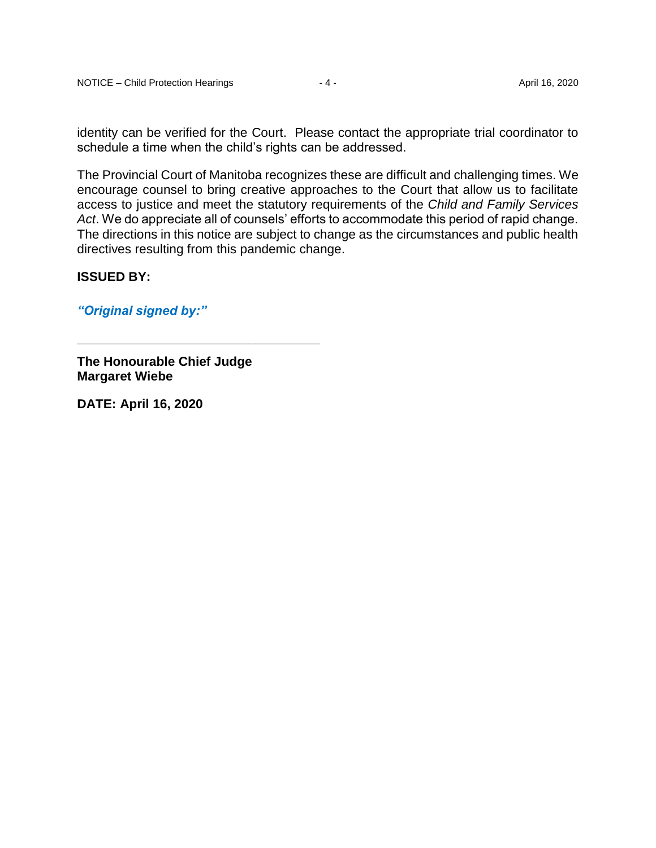identity can be verified for the Court. Please contact the appropriate trial coordinator to schedule a time when the child's rights can be addressed.

The Provincial Court of Manitoba recognizes these are difficult and challenging times. We encourage counsel to bring creative approaches to the Court that allow us to facilitate access to justice and meet the statutory requirements of the *Child and Family Services Act*. We do appreciate all of counsels' efforts to accommodate this period of rapid change. The directions in this notice are subject to change as the circumstances and public health directives resulting from this pandemic change.

#### **ISSUED BY:**

*"Original signed by:"*

**The Honourable Chief Judge Margaret Wiebe**

**\_\_\_\_\_\_\_\_\_\_\_\_\_\_\_\_\_\_\_\_\_\_\_\_\_\_\_\_\_\_\_\_\_\_**

**DATE: April 16, 2020**